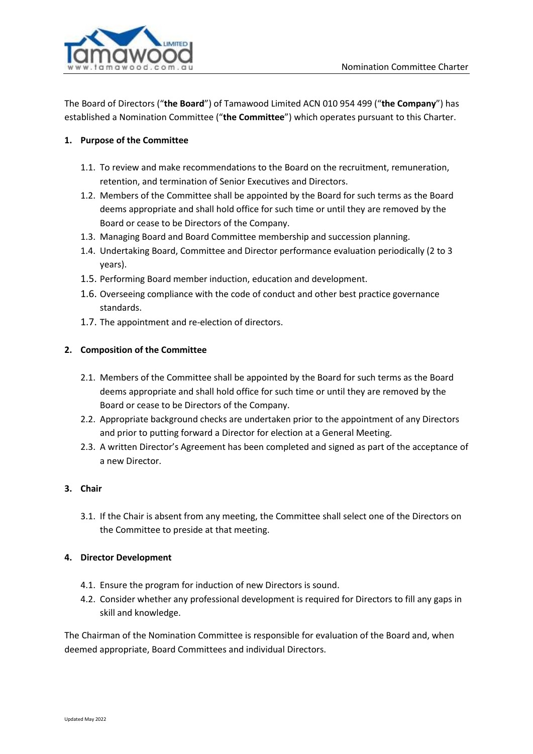

The Board of Directors ("**the Board**") of Tamawood Limited ACN 010 954 499 ("**the Company**") has established a Nomination Committee ("**the Committee**") which operates pursuant to this Charter.

# **1. Purpose of the Committee**

- 1.1. To review and make recommendations to the Board on the recruitment, remuneration, retention, and termination of Senior Executives and Directors.
- 1.2. Members of the Committee shall be appointed by the Board for such terms as the Board deems appropriate and shall hold office for such time or until they are removed by the Board or cease to be Directors of the Company.
- 1.3. Managing Board and Board Committee membership and succession planning.
- 1.4. Undertaking Board, Committee and Director performance evaluation periodically (2 to 3 years).
- 1.5. Performing Board member induction, education and development.
- 1.6. Overseeing compliance with the code of conduct and other best practice governance standards.
- 1.7. The appointment and re-election of directors.

## **2. Composition of the Committee**

- 2.1. Members of the Committee shall be appointed by the Board for such terms as the Board deems appropriate and shall hold office for such time or until they are removed by the Board or cease to be Directors of the Company.
- 2.2. Appropriate background checks are undertaken prior to the appointment of any Directors and prior to putting forward a Director for election at a General Meeting.
- 2.3. A written Director's Agreement has been completed and signed as part of the acceptance of a new Director.

## **3. Chair**

3.1. If the Chair is absent from any meeting, the Committee shall select one of the Directors on the Committee to preside at that meeting.

#### **4. Director Development**

- 4.1. Ensure the program for induction of new Directors is sound.
- 4.2. Consider whether any professional development is required for Directors to fill any gaps in skill and knowledge.

The Chairman of the Nomination Committee is responsible for evaluation of the Board and, when deemed appropriate, Board Committees and individual Directors.